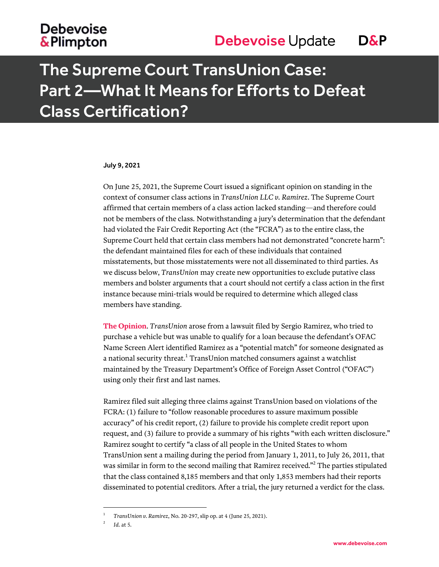## The Supreme Court TransUnion Case: Part 2—What It Means for Efforts to Defeat Class Certification?

#### July 9, 2021

On June 25, 2021, the Supreme Court issued a significant opinion on standing in the context of consumer class actions in *TransUnion LLC v. Ramirez*. The Supreme Court affirmed that certain members of a class action lacked standing—and therefore could not be members of the class. Notwithstanding a jury's determination that the defendant had violated the Fair Credit Reporting Act (the "FCRA") as to the entire class, the Supreme Court held that certain class members had not demonstrated "concrete harm": the defendant maintained files for each of these individuals that contained misstatements, but those misstatements were not all disseminated to third parties. As we discuss below, *TransUnion* may create new opportunities to exclude putative class members and bolster arguments that a court should not certify a class action in the first instance because mini-trials would be required to determine which alleged class members have standing.

**The Opinion**. *TransUnion* arose from a lawsuit filed by Sergio Ramirez, who tried to purchase a vehicle but was unable to qualify for a loan because the defendant's OFAC Name Screen Alert identified Ramirez as a "potential match" for someone designated as a national security threat. $^{\rm 1}$  TransUnion matched consumers against a watchlist maintained by the Treasury Department's Office of Foreign Asset Control ("OFAC") using only their first and last names.

Ramirez filed suit alleging three claims against TransUnion based on violations of the FCRA: (1) failure to "follow reasonable procedures to assure maximum possible accuracy" of his credit report, (2) failure to provide his complete credit report upon request, and (3) failure to provide a summary of his rights "with each written disclosure." Ramirez sought to certify "a class of all people in the United States to whom TransUnion sent a mailing during the period from January 1, 2011, to July 26, 2011, that was similar in form to the second mailing that Ramirez received." $^2$  The parties stipulated that the class contained 8,185 members and that only 1,853 members had their reports disseminated to potential creditors. After a trial, the jury returned a verdict for the class.

 $\overline{a}$ 

<sup>1</sup> *TransUnion v. Ramirez*, No. 20-297, slip op. at 4 (June 25, 2021).

<sup>2</sup> *Id.* at 5.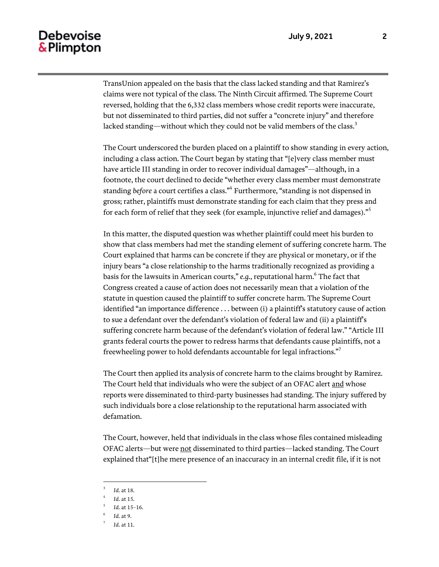TransUnion appealed on the basis that the class lacked standing and that Ramirez's claims were not typical of the class. The Ninth Circuit affirmed. The Supreme Court reversed, holding that the 6,332 class members whose credit reports were inaccurate, but not disseminated to third parties, did not suffer a "concrete injury" and therefore lacked standing—without which they could not be valid members of the class.<sup>3</sup>

The Court underscored the burden placed on a plaintiff to show standing in every action, including a class action. The Court began by stating that "[e]very class member must have article III standing in order to recover individual damages"—although, in a footnote, the court declined to decide "whether every class member must demonstrate standing *before* a court certifies a class."<sup>4</sup> Furthermore, "standing is not dispensed in gross; rather, plaintiffs must demonstrate standing for each claim that they press and for each form of relief that they seek (for example, injunctive relief and damages)."<sup>5</sup>

In this matter, the disputed question was whether plaintiff could meet his burden to show that class members had met the standing element of suffering concrete harm. The Court explained that harms can be concrete if they are physical or monetary, or if the injury bears "a close relationship to the harms traditionally recognized as providing a basis for the lawsuits in American courts," *e.g.*, reputational harm.<sup>6</sup> The fact that Congress created a cause of action does not necessarily mean that a violation of the statute in question caused the plaintiff to suffer concrete harm. The Supreme Court identified "an importance difference . . . between (i) a plaintiff's statutory cause of action to sue a defendant over the defendant's violation of federal law and (ii) a plaintiff's suffering concrete harm because of the defendant's violation of federal law." "Article III grants federal courts the power to redress harms that defendants cause plaintiffs, not a freewheeling power to hold defendants accountable for legal infractions."<sup>7</sup>

The Court then applied its analysis of concrete harm to the claims brought by Ramirez. The Court held that individuals who were the subject of an OFAC alert and whose reports were disseminated to third-party businesses had standing. The injury suffered by such individuals bore a close relationship to the reputational harm associated with defamation.

The Court, however, held that individuals in the class whose files contained misleading OFAC alerts—but were not disseminated to third parties—lacked standing. The Court explained that"[t]he mere presence of an inaccuracy in an internal credit file, if it is not

l

<sup>3</sup> *Id.* at 18.

<sup>4</sup> *Id.* at 15.

<sup>5</sup> *Id.* at 15–16.

<sup>6</sup> *Id.* at 9.

<sup>7</sup> *Id.* at 11.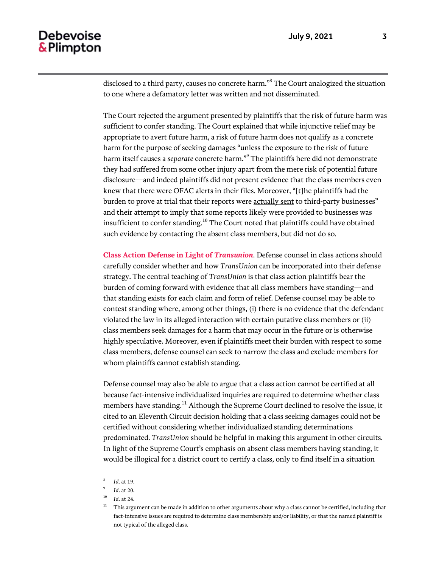disclosed to a third party, causes no concrete harm."<sup>8</sup> The Court analogized the situation to one where a defamatory letter was written and not disseminated.

The Court rejected the argument presented by plaintiffs that the risk of future harm was sufficient to confer standing. The Court explained that while injunctive relief may be appropriate to avert future harm, a risk of future harm does not qualify as a concrete harm for the purpose of seeking damages "unless the exposure to the risk of future harm itself causes a *separate* concrete harm."<sup>9</sup> The plaintiffs here did not demonstrate they had suffered from some other injury apart from the mere risk of potential future disclosure—and indeed plaintiffs did not present evidence that the class members even knew that there were OFAC alerts in their files. Moreover, "[t]he plaintiffs had the burden to prove at trial that their reports were actually sent to third-party businesses" and their attempt to imply that some reports likely were provided to businesses was insufficient to confer standing.<sup>10</sup> The Court noted that plaintiffs could have obtained such evidence by contacting the absent class members, but did not do so.

**Class Action Defense in Light of** *Transunion*. Defense counsel in class actions should carefully consider whether and how *TransUnion* can be incorporated into their defense strategy. The central teaching of *TransUnion* is that class action plaintiffs bear the burden of coming forward with evidence that all class members have standing—and that standing exists for each claim and form of relief. Defense counsel may be able to contest standing where, among other things, (i) there is no evidence that the defendant violated the law in its alleged interaction with certain putative class members or (ii) class members seek damages for a harm that may occur in the future or is otherwise highly speculative. Moreover, even if plaintiffs meet their burden with respect to some class members, defense counsel can seek to narrow the class and exclude members for whom plaintiffs cannot establish standing.

Defense counsel may also be able to argue that a class action cannot be certified at all because fact-intensive individualized inquiries are required to determine whether class members have standing.<sup>11</sup> Although the Supreme Court declined to resolve the issue, it cited to an Eleventh Circuit decision holding that a class seeking damages could not be certified without considering whether individualized standing determinations predominated. *TransUnion* should be helpful in making this argument in other circuits. In light of the Supreme Court's emphasis on absent class members having standing, it would be illogical for a district court to certify a class, only to find itself in a situation

l

<sup>8</sup> *Id.* at 19.

<sup>9</sup> *Id.* at 20.

<sup>10</sup> *Id.* at 24.

 $11$  This argument can be made in addition to other arguments about why a class cannot be certified, including that fact-intensive issues are required to determine class membership and/or liability, or that the named plaintiff is not typical of the alleged class.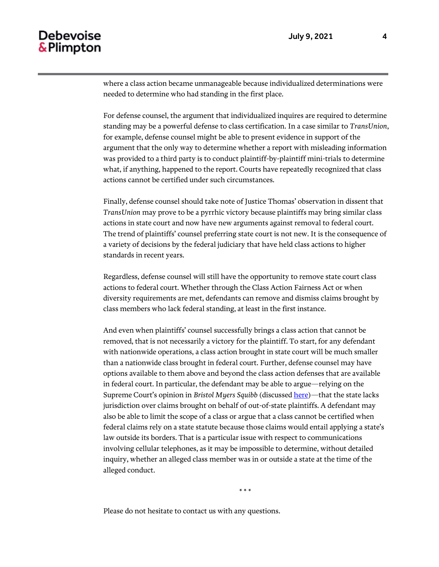where a class action became unmanageable because individualized determinations were needed to determine who had standing in the first place.

For defense counsel, the argument that individualized inquires are required to determine standing may be a powerful defense to class certification. In a case similar to *TransUnion*, for example, defense counsel might be able to present evidence in support of the argument that the only way to determine whether a report with misleading information was provided to a third party is to conduct plaintiff-by-plaintiff mini-trials to determine what, if anything, happened to the report. Courts have repeatedly recognized that class actions cannot be certified under such circumstances.

Finally, defense counsel should take note of Justice Thomas' observation in dissent that *TransUnion* may prove to be a pyrrhic victory because plaintiffs may bring similar class actions in state court and now have new arguments against removal to federal court. The trend of plaintiffs' counsel preferring state court is not new. It is the consequence of a variety of decisions by the federal judiciary that have held class actions to higher standards in recent years.

Regardless, defense counsel will still have the opportunity to remove state court class actions to federal court. Whether through the Class Action Fairness Act or when diversity requirements are met, defendants can remove and dismiss claims brought by class members who lack federal standing, at least in the first instance.

And even when plaintiffs' counsel successfully brings a class action that cannot be removed, that is not necessarily a victory for the plaintiff. To start, for any defendant with nationwide operations, a class action brought in state court will be much smaller than a nationwide class brought in federal court. Further, defense counsel may have options available to them above and beyond the class action defenses that are available in federal court. In particular, the defendant may be able to argue—relying on the Supreme Court's opinion in *Bristol Myers Squibb* (discussed [here\)](https://www.debevoise.com/-/media/files/insights/publications/2017/06/20170623_supreme_court_limits_forum_shopping_creates_risk_management_opportunities.pdf)—that the state lacks jurisdiction over claims brought on behalf of out-of-state plaintiffs. A defendant may also be able to limit the scope of a class or argue that a class cannot be certified when federal claims rely on a state statute because those claims would entail applying a state's law outside its borders. That is a particular issue with respect to communications involving cellular telephones, as it may be impossible to determine, without detailed inquiry, whether an alleged class member was in or outside a state at the time of the alleged conduct.

\* \* \*

Please do not hesitate to contact us with any questions.